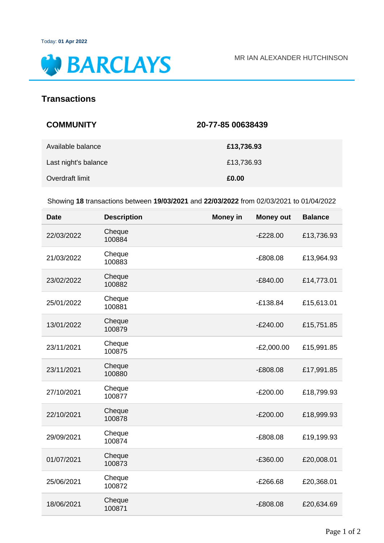

## **Transactions**

| <b>COMMUNITY</b>     | 20-77-85 00638439 |
|----------------------|-------------------|
| Available balance    | £13,736.93        |
| Last night's balance | £13,736.93        |
| Overdraft limit      | £0.00             |

Showing **18** transactions between **19/03/2021** and **22/03/2022** from 02/03/2021 to 01/04/2022

| <b>Date</b> | <b>Description</b> | <b>Money in</b> | <b>Money out</b> | <b>Balance</b> |
|-------------|--------------------|-----------------|------------------|----------------|
| 22/03/2022  | Cheque<br>100884   |                 | $-E228.00$       | £13,736.93     |
| 21/03/2022  | Cheque<br>100883   |                 | $-£808.08$       | £13,964.93     |
| 23/02/2022  | Cheque<br>100882   |                 | $-E840.00$       | £14,773.01     |
| 25/01/2022  | Cheque<br>100881   |                 | $-£138.84$       | £15,613.01     |
| 13/01/2022  | Cheque<br>100879   |                 | $-E240.00$       | £15,751.85     |
| 23/11/2021  | Cheque<br>100875   |                 | $-E2,000.00$     | £15,991.85     |
| 23/11/2021  | Cheque<br>100880   |                 | $-E808.08$       | £17,991.85     |
| 27/10/2021  | Cheque<br>100877   |                 | $-E200.00$       | £18,799.93     |
| 22/10/2021  | Cheque<br>100878   |                 | $-E200.00$       | £18,999.93     |
| 29/09/2021  | Cheque<br>100874   |                 | $-E808.08$       | £19,199.93     |
| 01/07/2021  | Cheque<br>100873   |                 | $-£360.00$       | £20,008.01     |
| 25/06/2021  | Cheque<br>100872   |                 | $-E266.68$       | £20,368.01     |
| 18/06/2021  | Cheque<br>100871   |                 | $-£808.08$       | £20,634.69     |